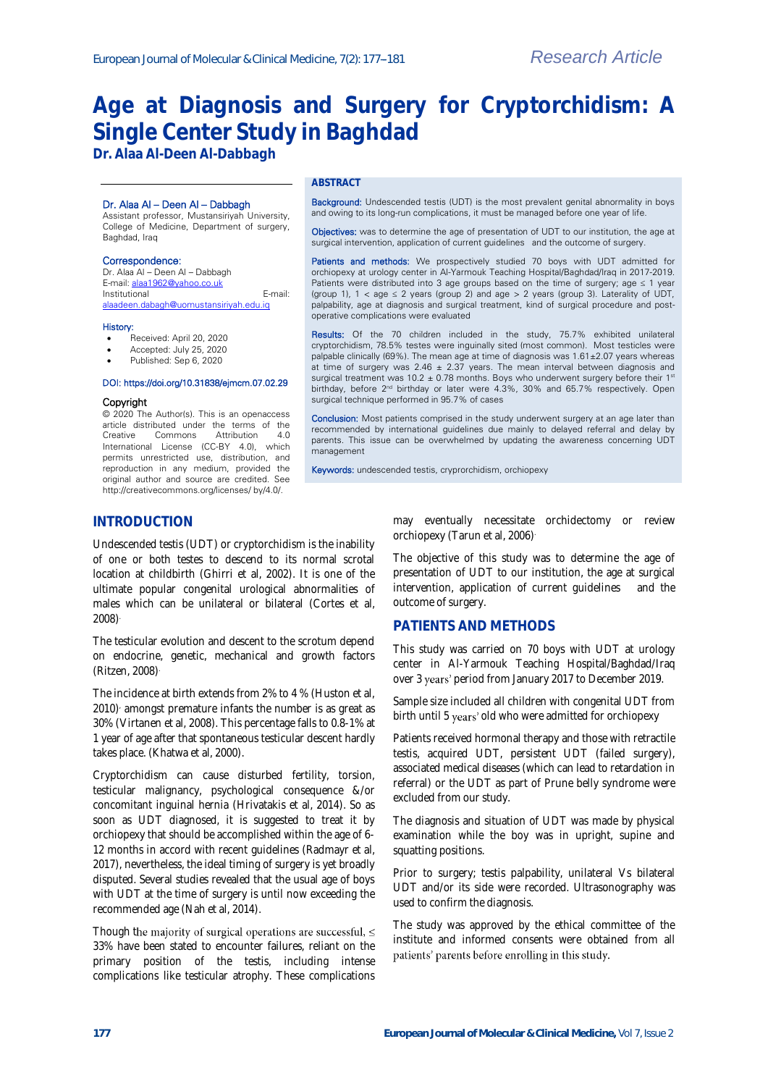# **Age at Diagnosis and Surgery for Cryptorchidism: A Single Center Study in Baghdad**

**Dr. Alaa Al-Deen Al-Dabbagh**

#### Dr. Alaa Al – Deen Al – Dabbagh

Assistant professor, Mustansiriyah University, College of Medicine, Department of surgery, Baghdad, Iraq

#### Correspondence:

Dr. Alaa Al – Deen Al – Dabbagh E-mail[: alaa1962@yahoo.co.uk](mailto:alaa1962@yahoo.co.uk) Institutional E-mail: [alaadeen.dabagh@uomustansiriyah.edu.iq](mailto:alaadeen.dabagh@uomustansiriyah.edu.iq) 

#### History:

- Received: April 20, 2020
- Accepted: July 25, 2020 Published: Sep 6, 2020

#### DOI: https://doi.org/10.31838/ejmcm.07.02.29

#### Copyright

© 2020 The Author(s). This is an openaccess article distributed under the terms of the<br>Creative Commons Attribution 40 Creative Commons Attribution 4.0 International License (CC-BY 4.0), which permits unrestricted use, distribution, and reproduction in any medium, provided the original author and source are credited. See http://creativecommons.org/licenses/ by/4.0/.

#### **ABSTRACT**

Background: Undescended testis (UDT) is the most prevalent genital abnormality in boys and owing to its long-run complications, it must be managed before one year of life.

Objectives: was to determine the age of presentation of UDT to our institution, the age at surgical intervention, application of current guidelines and the outcome of surgery.

Patients and methods: We prospectively studied 70 boys with UDT admitted for orchiopexy at urology center in Al-Yarmouk Teaching Hospital/Baghdad/Iraq in 2017-2019. Patients were distributed into 3 age groups based on the time of surgery; age ≤ 1 year (group 1),  $1 <$  age  $\leq 2$  years (group 2) and age  $> 2$  years (group 3). Laterality of UDT, palpability, age at diagnosis and surgical treatment, kind of surgical procedure and postoperative complications were evaluated

Results: Of the 70 children included in the study, 75.7% exhibited unilateral cryptorchidism, 78.5% testes were inguinally sited (most common). Most testicles were palpable clinically (69%). The mean age at time of diagnosis was  $1.61 \pm 2.07$  years whereas at time of surgery was 2.46  $\pm$  2.37 years. The mean interval between diagnosis and surgical treatment was 10.2  $\pm$  0.78 months. Boys who underwent surgery before their 1<sup>st</sup> birthday, before 2nd birthday or later were 4.3%, 30% and 65.7% respectively. Open surgical technique performed in 95.7% of cases

Conclusion: Most patients comprised in the study underwent surgery at an age later than recommended by international guidelines due mainly to delayed referral and delay by parents. This issue can be overwhelmed by updating the awareness concerning UDT management

Keywords: undescended testis, cryprorchidism, orchiopexy

## **INTRODUCTION**

Undescended testis (UDT) or cryptorchidism is the inability of one or both testes to descend to its normal scrotal location at childbirth (Ghirri et al, 2002). It is one of the ultimate popular congenital urological abnormalities of males which can be unilateral or bilateral (Cortes et al, 2008).

The testicular evolution and descent to the scrotum depend on endocrine, genetic, mechanical and growth factors (Ritzen, 2008).

The incidence at birth extends from 2% to 4 % (Huston et al, 2010) amongst premature infants the number is as great as 30% (Virtanen et al, 2008). This percentage falls to 0.8-1% at 1 year of age after that spontaneous testicular descent hardly takes place. (Khatwa et al, 2000).

Cryptorchidism can cause disturbed fertility, torsion, testicular malignancy, psychological consequence &/or concomitant inguinal hernia (Hrivatakis et al, 2014). So as soon as UDT diagnosed, it is suggested to treat it by orchiopexy that should be accomplished within the age of 6- 12 months in accord with recent guidelines (Radmayr et al, 2017), nevertheless, the ideal timing of surgery is yet broadly disputed. Several studies revealed that the usual age of boys with UDT at the time of surgery is until now exceeding the recommended age (Nah et al, 2014).

Though the majority of surgical operations are successful,  $\leq$ 33% have been stated to encounter failures, reliant on the primary position of the testis, including intense complications like testicular atrophy. These complications may eventually necessitate orchidectomy or review orchiopexy (Tarun et al, 2006) .

The objective of this study was to determine the age of presentation of UDT to our institution, the age at surgical intervention, application of current guidelines and the outcome of surgery.

### **PATIENTS AND METHODS**

This study was carried on 70 boys with UDT at urology center in Al-Yarmouk Teaching Hospital/Baghdad/Iraq over 3 period from January 2017 to December 2019.

Sample size included all children with congenital UDT from birth until 5 years' old who were admitted for orchiopexy

Patients received hormonal therapy and those with retractile testis, acquired UDT, persistent UDT (failed surgery), associated medical diseases (which can lead to retardation in referral) or the UDT as part of Prune belly syndrome were excluded from our study.

The diagnosis and situation of UDT was made by physical examination while the boy was in upright, supine and squatting positions.

Prior to surgery; testis palpability, unilateral Vs bilateral UDT and/or its side were recorded. Ultrasonography was used to confirm the diagnosis.

The study was approved by the ethical committee of the institute and informed consents were obtained from all patients' parents before enrolling in this study.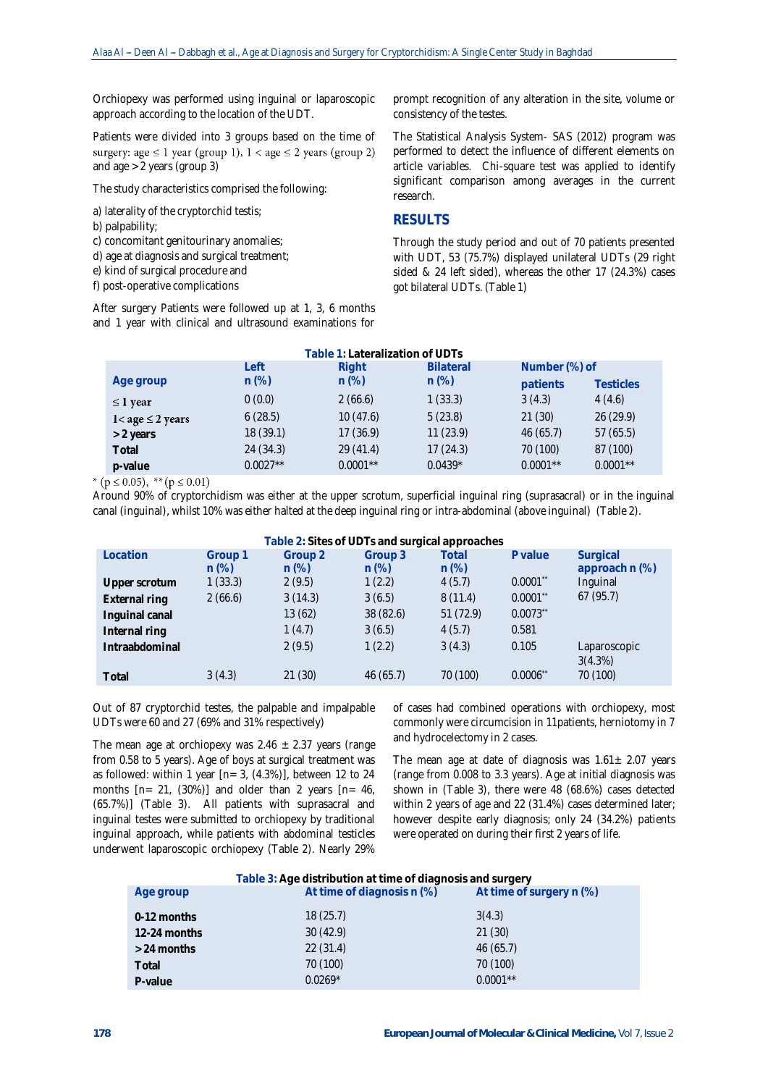Orchiopexy was performed using inguinal or laparoscopic approach according to the location of the UDT.

Patients were divided into 3 groups based on the time of surgery: age  $\leq 1$  year (group 1),  $1 <$  age  $\leq 2$  years (group 2) and age > 2 years (group 3)

The study characteristics comprised the following:

a) laterality of the cryptorchid testis;

b) palpability;

c) concomitant genitourinary anomalies;

d) age at diagnosis and surgical treatment;

e) kind of surgical procedure and

f) post-operative complications

After surgery Patients were followed up at 1, 3, 6 months and 1 year with clinical and ultrasound examinations for prompt recognition of any alteration in the site, volume or consistency of the testes.

The Statistical Analysis System- SAS (2012) program was performed to detect the influence of different elements on article variables. Chi-square test was applied to identify significant comparison among averages in the current research.

#### **RESULTS**

Through the study period and out of 70 patients presented with UDT, 53 (75.7%) displayed unilateral UDTs (29 right sided & 24 left sided), whereas the other 17 (24.3%) cases got bilateral UDTs. (Table 1)

| Table 1: Lateralization of UDTs |            |            |                  |               |                  |  |  |
|---------------------------------|------------|------------|------------------|---------------|------------------|--|--|
|                                 | I eft      | Right      | <b>Bilateral</b> | Number (%) of |                  |  |  |
| Age group                       | $n (\%)$   | $n (\%)$   | $n (\%)$         | patients      | <b>Testicles</b> |  |  |
| $\leq$ 1 year                   | 0(0.0)     | 2(66.6)    | 1(33.3)          | 3(4.3)        | 4(4.6)           |  |  |
| $1 <$ age $\leq 2$ years        | 6(28.5)    | 10(47.6)   | 5(23.8)          | 21(30)        | 26 (29.9)        |  |  |
| $> 2$ years                     | 18 (39.1)  | 17(36.9)   | 11(23.9)         | 46(65.7)      | 57(65.5)         |  |  |
| Total                           | 24(34.3)   | 29 (41.4)  | 17(24.3)         | 70 (100)      | 87 (100)         |  |  |
| p-value                         | $0.0027**$ | $0.0001**$ | $0.0439*$        | $0.0001**$    | $0.0001**$       |  |  |

\* ( $p \le 0.05$ ), \*\* ( $p \le 0.01$ )

Around 90% of cryptorchidism was either at the upper scrotum, superficial inguinal ring (suprasacral) or in the inguinal canal (inguinal), whilst 10% was either halted at the deep inguinal ring or intra-abdominal (above inguinal) (Table 2).

**Table 2: Sites of UDTs and surgical approaches**

| Location       | Group 1<br>$n (\%)$ | Group <sub>2</sub><br>$n (\%)$ | Group 3<br>$n (\%)$ | Total<br>$n (\%)$ | P value     | Surgical<br>approach n (%) |
|----------------|---------------------|--------------------------------|---------------------|-------------------|-------------|----------------------------|
| Upper scrotum  | 1(33.3)             | 2(9.5)                         | 1(2.2)              | 4(5.7)            | $0.0001$ ** | Inguinal                   |
| External ring  | 2(66.6)             | 3(14.3)                        | 3(6.5)              | 8(11.4)           | $0.0001$ ** | 67(95.7)                   |
| Inguinal canal |                     | 13(62)                         | 38 (82.6)           | 51(72.9)          | $0.0073$ ** |                            |
| Internal ring  |                     | 1(4.7)                         | 3(6.5)              | 4(5.7)            | 0.581       |                            |
| Intraabdominal |                     | 2(9.5)                         | 1(2.2)              | 3(4.3)            | 0.105       | Laparoscopic<br>3(4.3%)    |
| Total          | 3(4.3)              | 21(30)                         | 46(65.7)            | 70 (100)          | $0.0006$ ** | 70 (100)                   |

Out of 87 cryptorchid testes, the palpable and impalpable UDTs were 60 and 27 (69% and 31% respectively)

The mean age at orchiopexy was  $2.46 \pm 2.37$  years (range from 0.58 to 5 years). Age of boys at surgical treatment was as followed: within 1 year  $[n= 3, (4.3\%)]$ , between 12 to 24 months  $[n= 21, (30\%)]$  and older than 2 years  $[n= 46,$ (65.7%)] (Table 3). All patients with suprasacral and inguinal testes were submitted to orchiopexy by traditional inguinal approach, while patients with abdominal testicles underwent laparoscopic orchiopexy (Table 2). Nearly 29%

of cases had combined operations with orchiopexy, most commonly were circumcision in 11patients, herniotomy in 7 and hydrocelectomy in 2 cases.

The mean age at date of diagnosis was  $1.61 \pm 2.07$  years (range from 0.008 to 3.3 years). Age at initial diagnosis was shown in (Table 3), there were 48 (68.6%) cases detected within 2 years of age and 22 (31.4%) cases determined later; however despite early diagnosis; only 24 (34.2%) patients were operated on during their first 2 years of life.

| Table 3: Age distribution at time of diagnosis and surgery |                            |                            |  |  |  |
|------------------------------------------------------------|----------------------------|----------------------------|--|--|--|
| Age group                                                  | At time of diagnosis n (%) | At time of surgery $n$ (%) |  |  |  |
| 0-12 months                                                | 18(25.7)                   | 3(4.3)                     |  |  |  |
| 12-24 months                                               | 30(42.9)                   | 21(30)                     |  |  |  |
| $> 24$ months                                              | 22(31.4)                   | 46(65.7)                   |  |  |  |
| Total                                                      | 70 (100)                   | 70 (100)                   |  |  |  |
| P-value                                                    | $0.0269*$                  | $0.0001**$                 |  |  |  |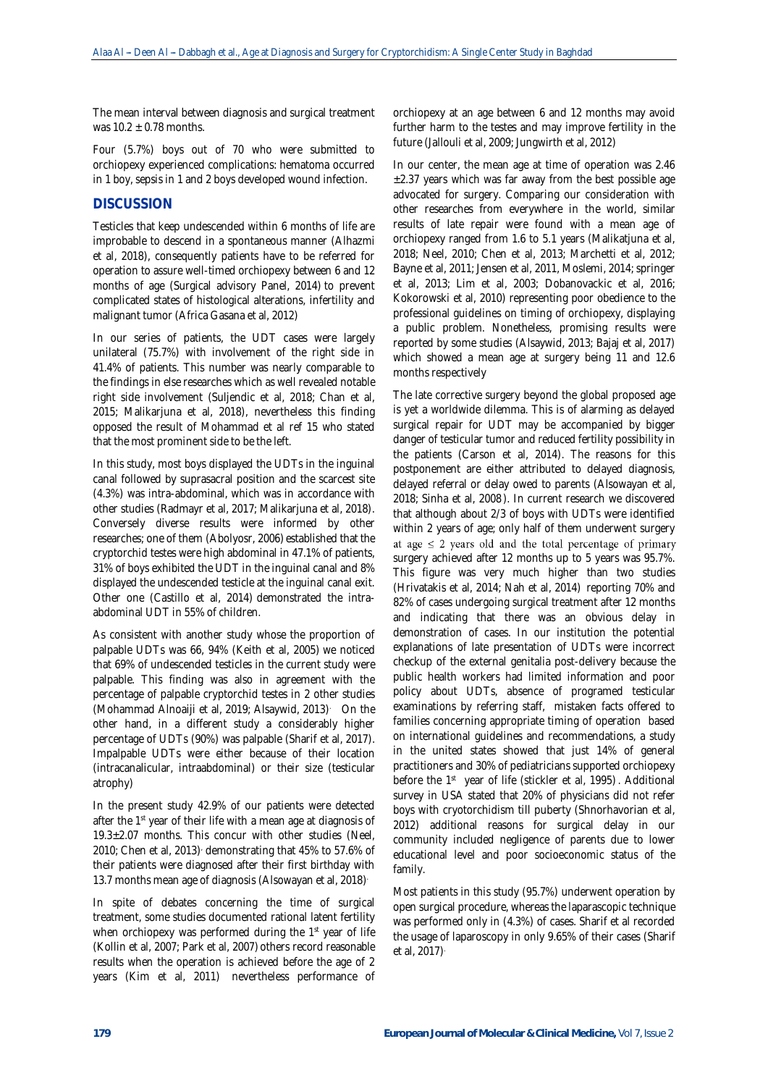The mean interval between diagnosis and surgical treatment was  $10.2 \pm 0.78$  months.

Four (5.7%) boys out of 70 who were submitted to orchiopexy experienced complications: hematoma occurred in 1 boy, sepsis in 1 and 2 boys developed wound infection.

### **DISCUSSION**

Testicles that keep undescended within 6 months of life are improbable to descend in a spontaneous manner (Alhazmi et al, 2018), consequently patients have to be referred for operation to assure well-timed orchiopexy between 6 and 12 months of age (Surgical advisory Panel, 2014) to prevent complicated states of histological alterations, infertility and malignant tumor (Africa Gasana et al, 2012)

In our series of patients, the UDT cases were largely unilateral (75.7%) with involvement of the right side in 41.4% of patients. This number was nearly comparable to the findings in else researches which as well revealed notable right side involvement (Suljendic et al, 2018; Chan et al, 2015; Malikarjuna et al, 2018), nevertheless this finding opposed the result of Mohammad et al ref 15 who stated that the most prominent side to be the left.

In this study, most boys displayed the UDTs in the inguinal canal followed by suprasacral position and the scarcest site (4.3%) was intra-abdominal, which was in accordance with other studies (Radmayr et al, 2017; Malikarjuna et al, 2018). Conversely diverse results were informed by other researches; one of them (Abolyosr, 2006) established that the cryptorchid testes were high abdominal in 47.1% of patients, 31% of boys exhibited the UDT in the inguinal canal and 8% displayed the undescended testicle at the inguinal canal exit. Other one (Castillo et al, 2014) demonstrated the intraabdominal UDT in 55% of children.

As consistent with another study whose the proportion of palpable UDTs was 66, 94% (Keith et al, 2005) we noticed that 69% of undescended testicles in the current study were palpable. This finding was also in agreement with the percentage of palpable cryptorchid testes in 2 other studies (Mohammad Alnoaiji et al, 2019; Alsaywid, 2013) . On the other hand, in a different study a considerably higher percentage of UDTs (90%) was palpable (Sharif et al, 2017). Impalpable UDTs were either because of their location (intracanalicular, intraabdominal) or their size (testicular atrophy)

In the present study 42.9% of our patients were detected after the 1<sup>st</sup> year of their life with a mean age at diagnosis of 19.3±2.07 months. This concur with other studies (Neel, 2010; Chen et al, 2013) demonstrating that 45% to 57.6% of their patients were diagnosed after their first birthday with 13.7 months mean age of diagnosis (Alsowayan et al, 2018) .

In spite of debates concerning the time of surgical treatment, some studies documented rational latent fertility when orchiopexy was performed during the 1<sup>st</sup> year of life (Kollin et al, 2007; Park et al, 2007) others record reasonable results when the operation is achieved before the age of 2 years (Kim et al, 2011) nevertheless performance of

orchiopexy at an age between 6 and 12 months may avoid further harm to the testes and may improve fertility in the future (Jallouli et al, 2009; Jungwirth et al, 2012)

In our center, the mean age at time of operation was 2.46  $\pm$ 2.37 years which was far away from the best possible age advocated for surgery. Comparing our consideration with other researches from everywhere in the world, similar results of late repair were found with a mean age of orchiopexy ranged from 1.6 to 5.1 years (Malikatjuna et al, 2018; Neel, 2010; Chen et al, 2013; Marchetti et al, 2012; Bayne et al, 2011; Jensen et al, 2011, Moslemi, 2014; springer et al, 2013; Lim et al, 2003; Dobanovackic et al, 2016; Kokorowski et al, 2010) representing poor obedience to the professional guidelines on timing of orchiopexy, displaying a public problem. Nonetheless, promising results were reported by some studies (Alsaywid, 2013; Bajaj et al, 2017) which showed a mean age at surgery being 11 and 12.6 months respectively

The late corrective surgery beyond the global proposed age is yet a worldwide dilemma. This is of alarming as delayed surgical repair for UDT may be accompanied by bigger danger of testicular tumor and reduced fertility possibility in the patients (Carson et al, 2014). The reasons for this postponement are either attributed to delayed diagnosis, delayed referral or delay owed to parents (Alsowayan et al, 2018; Sinha et al, 2008 ). In current research we discovered that although about 2/3 of boys with UDTs were identified within 2 years of age; only half of them underwent surgery at age  $\leq$  2 years old and the total percentage of primary surgery achieved after 12 months up to 5 years was 95.7%. This figure was very much higher than two studies (Hrivatakis et al, 2014; Nah et al, 2014) reporting 70% and 82% of cases undergoing surgical treatment after 12 months and indicating that there was an obvious delay in demonstration of cases. In our institution the potential explanations of late presentation of UDTs were incorrect checkup of the external genitalia post-delivery because the public health workers had limited information and poor policy about UDTs, absence of programed testicular examinations by referring staff, mistaken facts offered to families concerning appropriate timing of operation based on international guidelines and recommendations, a study in the united states showed that just 14% of general practitioners and 30% of pediatricians supported orchiopexy before the 1<sup>st</sup> year of life (stickler et al, 1995). Additional survey in USA stated that 20% of physicians did not refer boys with cryotorchidism till puberty (Shnorhavorian et al, 2012) additional reasons for surgical delay in our community included negligence of parents due to lower educational level and poor socioeconomic status of the family.

Most patients in this study (95.7%) underwent operation by open surgical procedure, whereas the laparascopic technique was performed only in (4.3%) of cases. Sharif et al recorded the usage of laparoscopy in only 9.65% of their cases (Sharif et al, 2017) .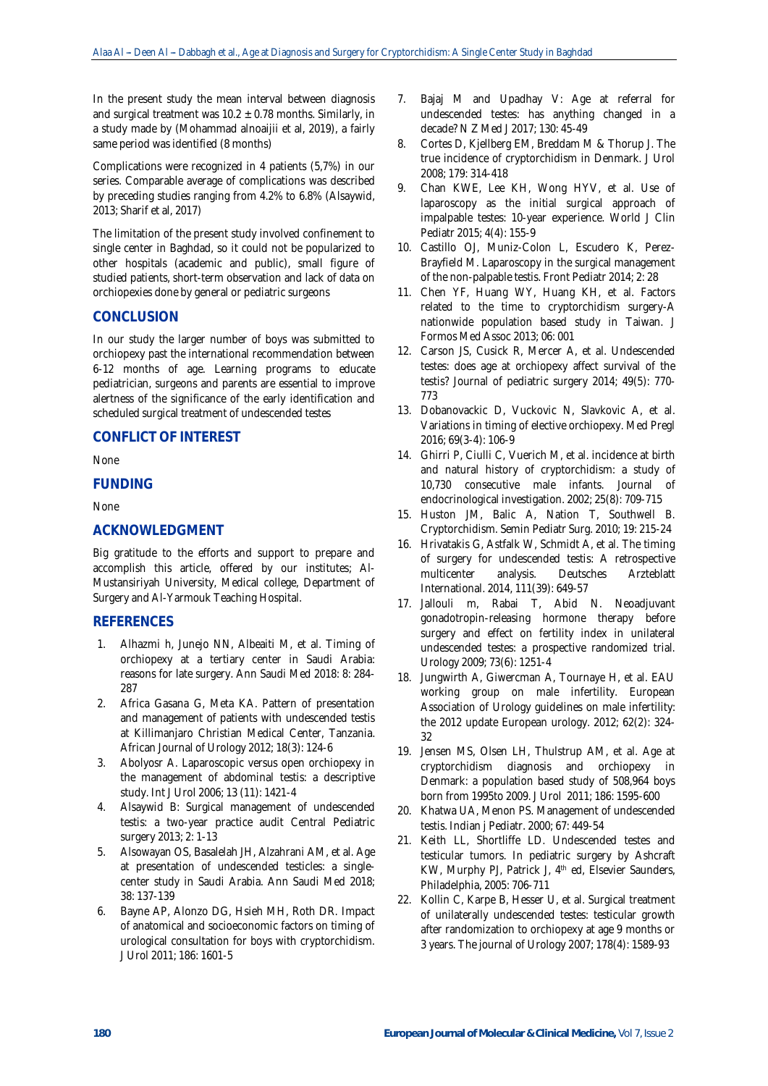In the present study the mean interval between diagnosis and surgical treatment was  $10.2 \pm 0.78$  months. Similarly, in a study made by (Mohammad alnoaijii et al, 2019), a fairly same period was identified (8 months)

Complications were recognized in 4 patients (5,7%) in our series. Comparable average of complications was described by preceding studies ranging from 4.2% to 6.8% (Alsaywid, 2013; Sharif et al, 2017)

The limitation of the present study involved confinement to single center in Baghdad, so it could not be popularized to other hospitals (academic and public), small figure of studied patients, short-term observation and lack of data on orchiopexies done by general or pediatric surgeons

# **CONCLUSION**

In our study the larger number of boys was submitted to orchiopexy past the international recommendation between 6-12 months of age. Learning programs to educate pediatrician, surgeons and parents are essential to improve alertness of the significance of the early identification and scheduled surgical treatment of undescended testes

## **CONFLICT OF INTEREST**

None

### **FUNDING**

None

## **ACKNOWLEDGMENT**

Big gratitude to the efforts and support to prepare and accomplish this article, offered by our institutes; Al-Mustansiriyah University, Medical college, Department of Surgery and Al-Yarmouk Teaching Hospital.

### **REFERENCES**

- 1. Alhazmi h, Junejo NN, Albeaiti M, et al. Timing of orchiopexy at a tertiary center in Saudi Arabia: reasons for late surgery. Ann Saudi Med 2018: 8: 284- 287
- 2. Africa Gasana G, Meta KA. Pattern of presentation and management of patients with undescended testis at Killimanjaro Christian Medical Center, Tanzania. African Journal of Urology 2012; 18(3): 124-6
- 3. Abolyosr A. Laparoscopic versus open orchiopexy in the management of abdominal testis: a descriptive study. Int J Urol 2006; 13 (11): 1421-4
- 4. Alsaywid B: Surgical management of undescended testis: a two-year practice audit Central Pediatric surgery 2013; 2: 1-13
- 5. Alsowayan OS, Basalelah JH, Alzahrani AM, et al. Age at presentation of undescended testicles: a singlecenter study in Saudi Arabia. Ann Saudi Med 2018; 38: 137-139
- 6. Bayne AP, Alonzo DG, Hsieh MH, Roth DR. Impact of anatomical and socioeconomic factors on timing of urological consultation for boys with cryptorchidism. J Urol 2011; 186: 1601-5
- 7. Bajaj M and Upadhay V: Age at referral for undescended testes: has anything changed in a decade? N Z Med J 2017; 130: 45-49
- 8. Cortes D, Kjellberg EM, Breddam M & Thorup J. The true incidence of cryptorchidism in Denmark. J Urol 2008; 179: 314-418
- 9. Chan KWE, Lee KH, Wong HYV, et al. Use of laparoscopy as the initial surgical approach of impalpable testes: 10-year experience. World J Clin Pediatr 2015; 4(4): 155-9
- 10. Castillo OJ, Muniz-Colon L, Escudero K, Perez-Brayfield M. Laparoscopy in the surgical management of the non-palpable testis. Front Pediatr 2014; 2: 28
- 11. Chen YF, Huang WY, Huang KH, et al. Factors related to the time to cryptorchidism surgery-A nationwide population based study in Taiwan. J Formos Med Assoc 2013; 06: 001
- 12. Carson JS, Cusick R, Mercer A, et al. Undescended testes: does age at orchiopexy affect survival of the testis? Journal of pediatric surgery 2014; 49(5): 770- 773
- 13. Dobanovackic D, Vuckovic N, Slavkovic A, et al. Variations in timing of elective orchiopexy. Med Pregl 2016; 69(3-4): 106-9
- 14. Ghirri P, Ciulli C, Vuerich M, et al. incidence at birth and natural history of cryptorchidism: a study of 10,730 consecutive male infants. Journal of endocrinological investigation. 2002; 25(8): 709-715
- 15. Huston JM, Balic A, Nation T, Southwell B. Cryptorchidism. Semin Pediatr Surg. 2010; 19: 215-24
- 16. Hrivatakis G, Astfalk W, Schmidt A, et al. The timing of surgery for undescended testis: A retrospective multicenter analysis. Deutsches Arzteblatt International. 2014, 111(39): 649-57
- 17. Jallouli m, Rabai T, Abid N. Neoadjuvant gonadotropin-releasing hormone therapy before surgery and effect on fertility index in unilateral undescended testes: a prospective randomized trial. Urology 2009; 73(6): 1251-4
- 18. Jungwirth A, Giwercman A, Tournaye H, et al. EAU working group on male infertility. European Association of Urology guidelines on male infertility: the 2012 update European urology. 2012; 62(2): 324- 32
- 19. Jensen MS, Olsen LH, Thulstrup AM, et al. Age at cryptorchidism diagnosis and orchiopexy in Denmark: a population based study of 508,964 boys born from 1995to 2009. J Urol 2011; 186: 1595-600
- 20. Khatwa UA, Menon PS. Management of undescended testis. Indian j Pediatr. 2000; 67: 449-54
- 21. Keith LL, Shortliffe LD. Undescended testes and testicular tumors. In pediatric surgery by Ashcraft KW, Murphy PJ, Patrick J, 4<sup>th</sup> ed, Elsevier Saunders, Philadelphia, 2005: 706-711
- 22. Kollin C, Karpe B, Hesser U, et al. Surgical treatment of unilaterally undescended testes: testicular growth after randomization to orchiopexy at age 9 months or 3 years. The journal of Urology 2007; 178(4): 1589-93